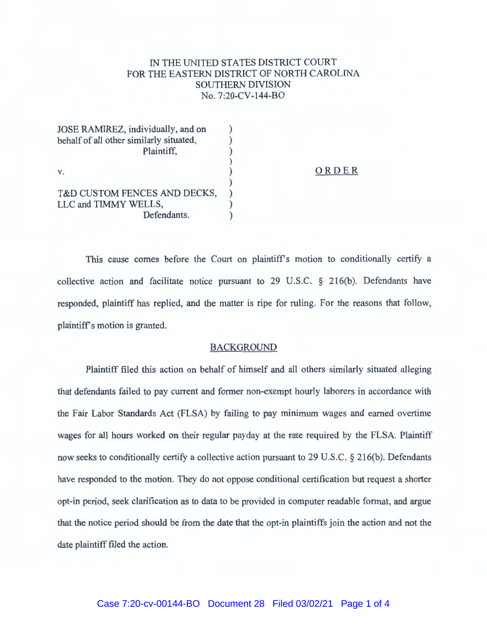## IN THE UNITED STATES DISTRICT COURT FOR THE EASTERN DISTRICT OF NORTH CAROLINA SOUTHERN DIVISION No. 7:20-CV-144-BO

| JOSE RAMIREZ, individually, and on<br>behalf of all other similarly situated,<br>Plaintiff, |       |
|---------------------------------------------------------------------------------------------|-------|
| V.                                                                                          | ORDER |
| T&D CUSTOM FENCES AND DECKS,<br>LLC and TIMMY WELLS,<br>Defendants.                         |       |

This cause comes before the Court on plaintiff's motion to conditionally certify a collective action and facilitate notice pursuant to 29 U.S.C. § 216(b). Defendants have responded, plaintiff has replied, and the matter is ripe for ruling. For the reasons that follow, plaintiff's motion is granted.

## BACKGROUND

Plaintiff filed this action on behalf of himself and all others similarly situated alleging that defendants failed to pay current and former non-exempt hourly laborers in accordance with the Fair Labor Standards Act (FLSA) by failing to pay minimum wages and earned overtime wages for all hours worked on their regular payday at the rate required by the FLSA. Plaintiff now seeks to conditionally certify a collective action pursuant to 29 U.S.C. § 216(b). Defendants have responded to the motion. They do not oppose conditional certification but request a shorter opt-in period, seek clarification as to data to be provided in computer readable format, and argue that the notice period should be from the date that the opt-in plaintiffs join the action and not the date plaintiff filed the action.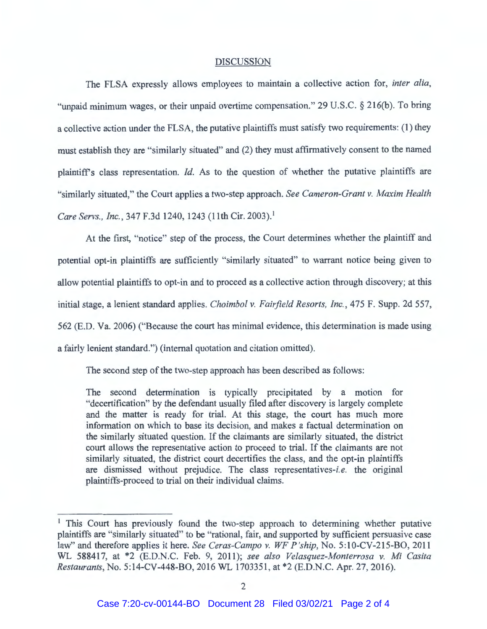## DISCUSSION

The FLSA expressly allows employees to maintain a collective action for, *inter alia,*  "unpaid minimum wages, or their unpaid overtime compensation." 29 U.S.C. § 216(b). To bring a collective action under the FLSA, the putative plaintiffs must satisfy two requirements: (1) they must establish they are "similarly situated" and (2) they must affirmatively consent to the named plaintiffs class representation. *Id.* As to the question of whether the putative plaintiffs are "similarly situated," the Court applies a two-step approach. *See Cameron-Grant v. Maxim Health Care Servs. , Inc.,* 347 F.3d 1240, 1243 (11th Cir. 2003). 1

At the first, "notice" step of the process, the Court determines whether the plaintiff and potential opt-in plaintiffs are sufficiently "similarly situated" to warrant notice being given to allow potential plaintiffs to opt-in and to proceed as a collective action through discovery; at this initial stage, a lenient standard applies. *Choimbol v. Fairfield Resorts, Inc.,* 475 F. Supp. 2d 557, 562 (E.D. Va. 2006) ("Because the court has minimal evidence, this determination is made using a fairly lenient standard.") (internal quotation and citation omitted).

The second step of the two-step approach has been described as follows:

The second determination is typically precipitated by a motion for "decertification" by the defendant usually filed after discovery is largely complete and the matter is ready for trial. At this stage, the court has much more information on which to base its decision, and makes a factual determination on the similarly situated question. If the claimants are similarly situated, the district court allows the representative action to proceed to trial. If the claimants are not similarly situated, the district court decertifies the class, and the opt-in plaintiffs are dismissed without prejudice. The class representatives-i.e. the original plaintiffs-proceed to trial on their individual claims.

<sup>&</sup>lt;sup>1</sup> This Court has previously found the two-step approach to determining whether putative plaintiffs are "similarly situated" to be "rational, fair, and supported by sufficient persuasive case law" and therefore applies it here. *See Ceras-Campo v. WF P 'ship,* No. 5:10-CV-215-BO, 2011 WL 588417, at \*2 (E.D.N.C. Feb. 9, 2011); *see also Velasquez-Monterrosa v. Mi Casita Restaurants,* No. 5:14-CV-448-BO, 2016 WL 1703351 , at \*2 (E.D.N.C. Apr. 27, 2016).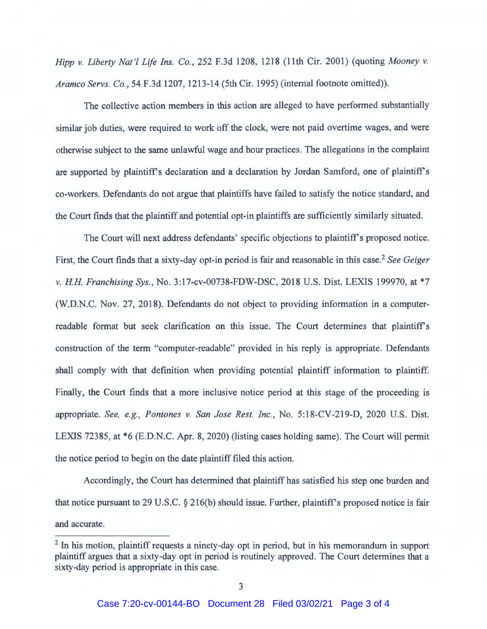*Hipp v. Liberty Nat'! Life Ins. Co.,* 252 F.3d 1208, 1218 (11th Cir. 2001) (quoting *Mooney v. Aramco Servs. Co.,* 54 F.3d 1207, 1213-14 (5th Cir. 1995) (internal footnote omitted)).

The collective action members in this action are alleged to have performed substantially similar job duties, were required to work off the clock, were not paid overtime wages, and were otherwise subject to the same unlawful wage and hour practices. The allegations in the complaint are supported by plaintiff's declaration and a declaration by Jordan Samford, one of plaintiff's co-workers. Defendants do not argue that plaintiffs have failed to satisfy the notice standard, and the Court finds that the plaintiff and potential opt-in plaintiffs are sufficiently similarly situated.

The Court will next address defendants' specific objections to plaintiff's proposed notice. First, the Court finds that a sixty-day opt-in period is fair and reasonable in this case. <sup>2</sup>*See Geiger v. HH Franchising Sys.,* No. 3:17-cv-00738-FDW-DSC, 2018 U.S. Dist. LEXIS 199970, at \*7 (W.D.N.C. Nov. 27, 2018). Defendants do not object to providing information in a computerreadable format but seek clarification on this issue. The Court determines that plaintiff's construction of the term "computer-readable" provided in his reply is appropriate. Defendants shall comply with that definition when providing potential plaintiff information to plaintiff. Finally, the Court finds that a more inclusive notice period at this stage of the proceeding is appropriate. *See, e.g. , Pontones v. San Jose Rest. Inc.,* No. 5:18-CV-219-D, 2020 U.S. Dist. LEXIS 72385, at \*6 (E.D.N.C. Apr. 8, 2020) (listing cases holding same). The Court will permit the notice period to begin on the date plaintiff filed this action.

Accordingly, the Court has determined that plaintiff has satisfied his step one burden and that notice pursuant to 29 U.S.C.  $\S$  216(b) should issue. Further, plaintiff's proposed notice is fair and accurate.

<sup>&</sup>lt;sup>2</sup> In his motion, plaintiff requests a ninety-day opt in period, but in his memorandum in support plaintiff argues that a sixty-day opt in period is routinely approved. The Court determines that a sixty-day period is appropriate in this case.